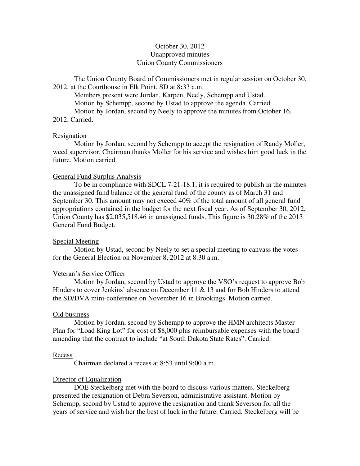# October 30, 2012 Unapproved minutes Union County Commissioners

The Union County Board of Commissioners met in regular session on October 30, 2012, at the Courthouse in Elk Point, SD at 8**:**33 a.m.

 Members present were Jordan, Karpen, Neely, Schempp and Ustad. Motion by Schempp, second by Ustad to approve the agenda. Carried. Motion by Jordan, second by Neely to approve the minutes from October 16, 2012. Carried.

### **Resignation**

 Motion by Jordan, second by Schempp to accept the resignation of Randy Moller, weed supervisor. Chairman thanks Moller for his service and wishes him good luck in the future. Motion carried.

## General Fund Surplus Analysis

 To be in compliance with SDCL 7-21-18.1, it is required to publish in the minutes the unassigned fund balance of the general fund of the county as of March 31 and September 30. This amount may not exceed 40% of the total amount of all general fund appropriations contained in the budget for the next fiscal year. As of September 30, 2012, Union County has \$2,035,518.46 in unassigned funds. This figure is 30.28% of the 2013 General Fund Budget.

# Special Meeting

 Motion by Ustad, second by Neely to set a special meeting to canvass the votes for the General Election on November 8, 2012 at 8:30 a.m.

# Veteran's Service Officer

 Motion by Jordan, second by Ustad to approve the VSO's request to approve Bob Hinders to cover Jenkins' absence on December 11  $\&$  13 and for Bob Hinders to attend the SD/DVA mini-conference on November 16 in Brookings. Motion carried.

### Old business

 Motion by Jordan, second by Schempp to approve the HMN architects Master Plan for "Load King Lot" for cost of \$8,000 plus reimbursable expenses with the board amending that the contract to include "at South Dakota State Rates". Carried.

### Recess

Chairman declared a recess at 8:53 until 9:00 a.m.

### Director of Equalization

 DOE Steckelberg met with the board to discuss various matters. Steckelberg presented the resignation of Debra Severson, administrative assistant. Motion by Schempp, second by Ustad to approve the resignation and thank Severson for all the years of service and wish her the best of luck in the future. Carried. Steckelberg will be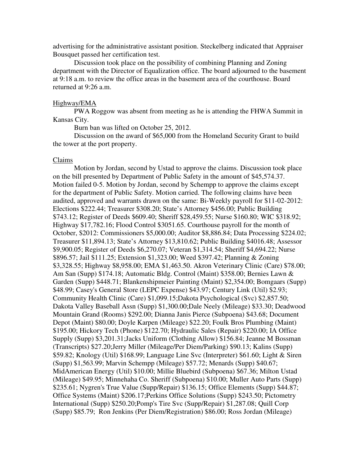advertising for the administrative assistant position. Steckelberg indicated that Appraiser Bousquet passed her certification test.

 Discussion took place on the possibility of combining Planning and Zoning department with the Director of Equalization office. The board adjourned to the basement at 9:18 a.m. to review the office areas in the basement area of the courthouse. Board returned at 9:26 a.m.

### Highway/EMA

 PWA Roggow was absent from meeting as he is attending the FHWA Summit in Kansas City.

Burn ban was lifted on October 25, 2012.

 Discussion on the award of \$65,000 from the Homeland Security Grant to build the tower at the port property.

#### Claims

 Motion by Jordan, second by Ustad to approve the claims. Discussion took place on the bill presented by Department of Public Safety in the amount of \$45,574.37. Motion failed 0-5. Motion by Jordan, second by Schempp to approve the claims except for the department of Public Safety. Motion carried. The following claims have been audited, approved and warrants drawn on the same: Bi-Weekly payroll for \$11-02-2012: Elections \$222.44; Treasurer \$308.20; State's Attorney \$456.00; Public Building \$743.12; Register of Deeds \$609.40; Sheriff \$28,459.55; Nurse \$160.80; WIC \$318.92; Highway \$17,782.16; Flood Control \$3051.65. Courthouse payroll for the month of October, \$2012: Commissioners \$5,000.00; Auditor \$8,886.84; Data Processing \$224.02; Treasurer \$11,894.13; State's Attorney \$13,810.62; Public Building \$4016.48; Assessor \$9,900.05; Register of Deeds \$6,270.07; Veteran \$1,314.54; Sheriff \$4,694.22; Nurse \$896.57; Jail \$111.25; Extension \$1,323.00; Weed \$397.42; Planning & Zoning \$3,328.55; Highway \$8,958.00; EMA \$1,463.50. Akron Veterinary Clinic (Care) \$78.00; Am San (Supp) \$174.18; Automatic Bldg. Control (Maint) \$358.00; Bernies Lawn & Garden (Supp) \$448.71; Blankenshipmeier Painting (Maint) \$2,354.00; Bomgaars (Supp) \$48.99; Casey's General Store (LEPC Expense) \$43.97; Century Link (Util) \$2.93; Community Health Clinic (Care) \$1,099.15;Dakota Psychological (Svc) \$2,857.50; Dakota Valley Baseball Assn (Supp) \$1,300.00;Dale Neely (Mileage) \$33.30; Deadwood Mountain Grand (Rooms) \$292.00; Dianna Janis Pierce (Subpoena) \$43.68; Document Depot (Maint) \$80.00; Doyle Karpen (Mileage) \$22.20; Foulk Bros Plumbing (Maint) \$195.00; Hickory Tech (Phone) \$122.70; Hydraulic Sales (Repair) \$220.00; IA Office Supply (Supp) \$3,201.31;Jacks Uniform (Clothing Allow) \$156.84; Jeanne M Bossman (Transcripts) \$27.20;Jerry Miller (Mileage/Per Diem/Parking) \$90.13; Kalins (Supp) \$59.82; Knology (Util) \$168.99; Language Line Svc (Interpreter) \$61.60; Light & Siren (Supp) \$1,563.99; Marvin Schempp (Mileage) \$57.72; Menards (Supp) \$40.67; MidAmerican Energy (Util) \$10.00; Millie Bluebird (Subpoena) \$67.36; Milton Ustad (Mileage) \$49.95; Minnehaha Co. Sheriff (Subpoena) \$10.00; Muller Auto Parts (Supp) \$235.61; Nygren's True Value (Supp/Repair) \$136.15; Office Elements (Supp) \$44.87; Office Systems (Maint) \$206.17;Perkins Office Solutions (Supp) \$243.50; Pictometry International (Supp) \$250.20;Pomp's Tire Svc (Supp/Repair) \$1,287.08; Quill Corp (Supp) \$85.79; Ron Jenkins (Per Diem/Registration) \$86.00; Ross Jordan (Mileage)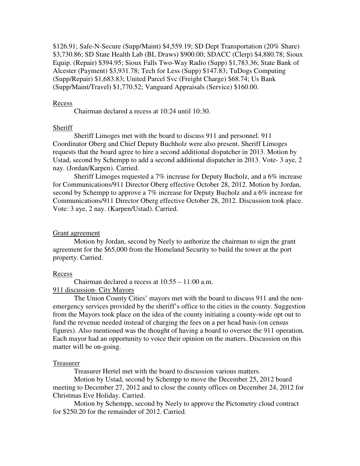\$126.91; Safe-N-Secure (Supp/Maint) \$4,559.19; SD Dept Transportation (20% Share) \$3,730.86; SD State Health Lab (BL Draws) \$900.00; SDACC (Clerp) \$4,880.78; Sioux Equip. (Repair) \$394.95; Sioux Falls Two-Way Radio (Supp) \$1,783.36; State Bank of Alcester (Payment) \$3,931.78; Tech for Less (Supp) \$147.83; TuDogs Computing (Supp/Repair) \$1,683.83; United Parcel Svc (Freight Charge) \$68.74; Us Bank (Supp/Maint/Travel) \$1,770.52; Vanguard Appraisals (Service) \$160.00.

### Recess

Chairman declared a recess at 10:24 until 10:30.

# **Sheriff**

 Sheriff Limoges met with the board to discuss 911 and personnel. 911 Coordinator Oberg and Chief Deputy Buchholz were also present. Sheriff Limoges requests that the board agree to hire a second additional dispatcher in 2013. Motion by Ustad, second by Schempp to add a second additional dispatcher in 2013. Vote- 3 aye, 2 nay. (Jordan/Karpen). Carried.

 Sheriff Limoges requested a 7% increase for Deputy Bucholz, and a 6% increase for Communications/911 Director Oberg effective October 28, 2012. Motion by Jordan, second by Schempp to approve a 7% increase for Deputy Bucholz and a 6% increase for Communications/911 Director Oberg effective October 28, 2012. Discussion took place. Vote: 3 aye, 2 nay. (Karpen/Ustad). Carried.

### Grant agreement

 Motion by Jordan, second by Neely to authorize the chairman to sign the grant agreement for the \$65,000 from the Homeland Security to build the tower at the port property. Carried.

#### Recess

 Chairman declared a recess at 10:55 – 11:00 a.m. 911 discussion- City Mayors

 The Union County Cities' mayors met with the board to discuss 911 and the nonemergency services provided by the sheriff's office to the cities in the county. Suggestion from the Mayors took place on the idea of the county initiating a county-wide opt out to fund the revenue needed instead of charging the fees on a per head basis (on census figures). Also mentioned was the thought of having a board to oversee the 911 operation. Each mayor had an opportunity to voice their opinion on the matters. Discussion on this matter will be on-going.

#### Treasurer

Treasurer Hertel met with the board to discussion various matters.

 Motion by Ustad, second by Schempp to move the December 25, 2012 board meeting to December 27, 2012 and to close the county offices on December 24, 2012 for Christmas Eve Holiday. Carried.

 Motion by Schempp, second by Neely to approve the Pictometry cloud contract for \$250.20 for the remainder of 2012. Carried.